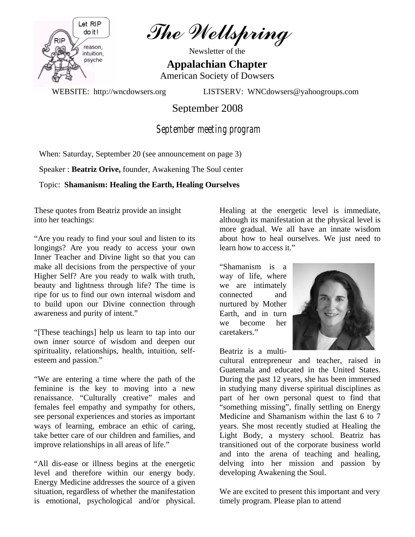

The Wellspring

Newsletter of the

**Appalachian Chapter**  American Society of Dowsers

WEBSITE: http://wncdowsers.org LISTSERV: WNCdowsers@yahoogroups.com

September 2008

 *September meeting program* 

When: Saturday, September 20 (see announcement on page 3)

Speaker : **Beatriz Orive,** founder, Awakening The Soul center

Topic: **Shamanism: Healing the Earth, Healing Ourselves** 

These quotes from Beatriz provide an insight into her teachings:

"Are you ready to find your soul and listen to its longings? Are you ready to access your own Inner Teacher and Divine light so that you can make all decisions from the perspective of your Higher Self? Are you ready to walk with truth, beauty and lightness through life? The time is ripe for us to find our own internal wisdom and to build upon our Divine connection through awareness and purity of intent."

"[These teachings] help us learn to tap into our own inner source of wisdom and deepen our spirituality, relationships, health, intuition, selfesteem and passion."

"We are entering a time where the path of the feminine is the key to moving into a new renaissance. "Culturally creative" males and females feel empathy and sympathy for others, see personal experiences and stories as important ways of learning, embrace an ethic of caring, take better care of our children and families, and improve relationships in all areas of life."

"All dis-ease or illness begins at the energetic level and therefore within our energy body. Energy Medicine addresses the source of a given situation, regardless of whether the manifestation is emotional, psychological and/or physical.

Healing at the energetic level is immediate, although its manifestation at the physical level is more gradual. We all have an innate wisdom about how to heal ourselves. We just need to learn how to access it."

"Shamanism is a way of life, where we are intimately connected and nurtured by Mother Earth, and in turn we become her caretakers."



Beatriz is a multi-

cultural entrepreneur and teacher, raised in Guatemala and educated in the United States. During the past 12 years, she has been immersed in studying many diverse spiritual disciplines as part of her own personal quest to find that "something missing", finally settling on Energy Medicine and Shamanism within the last 6 to 7 years. She most recently studied at Healing the Light Body, a mystery school. Beatriz has transitioned out of the corporate business world and into the arena of teaching and healing, delving into her mission and passion by developing Awakening the Soul.

We are excited to present this important and very timely program. Please plan to attend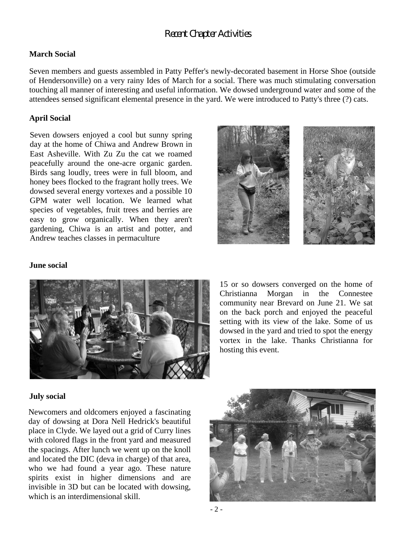# *Recent Chapter Activities*

# **March Social**

Seven members and guests assembled in Patty Peffer's newly-decorated basement in Horse Shoe (outside of Hendersonville) on a very rainy Ides of March for a social. There was much stimulating conversation touching all manner of interesting and useful information. We dowsed underground water and some of the attendees sensed significant elemental presence in the yard. We were introduced to Patty's three (?) cats.

### **April Social**

Seven dowsers enjoyed a cool but sunny spring day at the home of Chiwa and Andrew Brown in East Asheville. With Zu Zu the cat we roamed peacefully around the one-acre organic garden. Birds sang loudly, trees were in full bloom, and honey bees flocked to the fragrant holly trees. We dowsed several energy vortexes and a possible 10 GPM water well location. We learned what species of vegetables, fruit trees and berries are easy to grow organically. When they aren't gardening, Chiwa is an artist and potter, and Andrew teaches classes in permaculture



#### **June social**



15 or so dowsers converged on the home of Christianna Morgan in the Connestee community near Brevard on June 21. We sat on the back porch and enjoyed the peaceful setting with its view of the lake. Some of us dowsed in the yard and tried to spot the energy vortex in the lake. Thanks Christianna for hosting this event.

#### **July social**

Newcomers and oldcomers enjoyed a fascinating day of dowsing at Dora Nell Hedrick's beautiful place in Clyde. We layed out a grid of Curry lines with colored flags in the front yard and measured the spacings. After lunch we went up on the knoll and located the DIC (deva in charge) of that area, who we had found a year ago. These nature spirits exist in higher dimensions and are invisible in 3D but can be located with dowsing, which is an interdimensional skill.

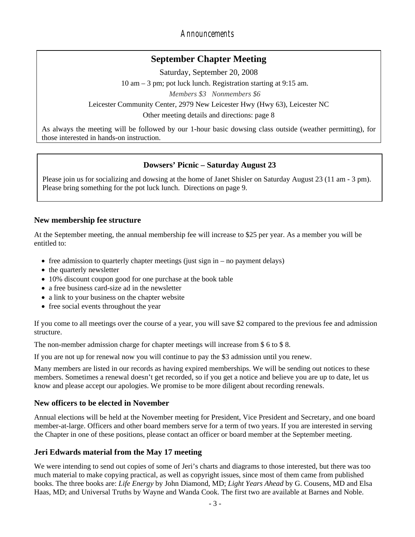*Announcements* 

# **September Chapter Meeting**

Saturday, September 20, 2008

10 am – 3 pm; pot luck lunch. Registration starting at 9:15 am.

*Members \$3 Nonmembers \$6*

Leicester Community Center, 2979 New Leicester Hwy (Hwy 63), Leicester NC

Other meeting details and directions: page 8

As always the meeting will be followed by our 1-hour basic dowsing class outside (weather permitting), for those interested in hands-on instruction.

# **Dowsers' Picnic – Saturday August 23**

Please join us for socializing and dowsing at the home of Janet Shisler on Saturday August 23 (11 am - 3 pm). Please bring something for the pot luck lunch. Directions on page 9.

# **New membership fee structure**

At the September meeting, the annual membership fee will increase to \$25 per year. As a member you will be entitled to:

- free admission to quarterly chapter meetings (just sign in no payment delays)
- the quarterly newsletter
- 10% discount coupon good for one purchase at the book table
- a free business card-size ad in the newsletter
- a link to your business on the chapter website
- free social events throughout the year

If you come to all meetings over the course of a year, you will save \$2 compared to the previous fee and admission structure.

The non-member admission charge for chapter meetings will increase from \$ 6 to \$ 8.

If you are not up for renewal now you will continue to pay the \$3 admission until you renew.

Many members are listed in our records as having expired memberships. We will be sending out notices to these members. Sometimes a renewal doesn't get recorded, so if you get a notice and believe you are up to date, let us know and please accept our apologies. We promise to be more diligent about recording renewals.

# **New officers to be elected in November**

Annual elections will be held at the November meeting for President, Vice President and Secretary, and one board member-at-large. Officers and other board members serve for a term of two years. If you are interested in serving the Chapter in one of these positions, please contact an officer or board member at the September meeting.

# **Jeri Edwards material from the May 17 meeting**

We were intending to send out copies of some of Jeri's charts and diagrams to those interested, but there was too much material to make copying practical, as well as copyright issues, since most of them came from published books. The three books are: *Life Energy* by John Diamond, MD; *Light Years Ahead* by G. Cousens, MD and Elsa Haas, MD; and Universal Truths by Wayne and Wanda Cook. The first two are available at Barnes and Noble.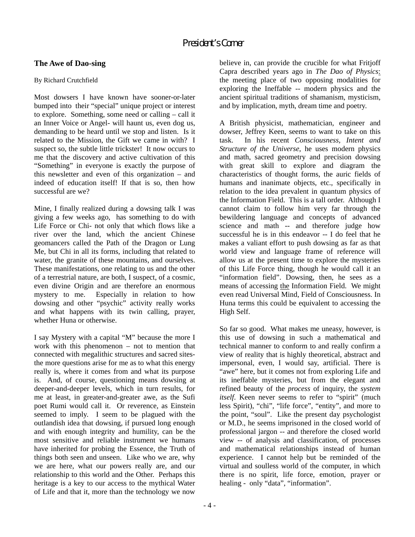# **The Awe of Dao-sing**

# By Richard Crutchfield

Most dowsers I have known have sooner-or-later bumped into their "special" unique project or interest to explore. Something, some need or calling – call it an Inner Voice or Angel- will haunt us, even dog us, demanding to be heard until we stop and listen. Is it related to the Mission, the Gift we came in with? I suspect so, the subtle little trickster! It now occurs to me that the discovery and active cultivation of this "Something" in everyone is exactly the purpose of this newsletter and even of this organization – and indeed of education itself! If that is so, then how successful are we?

Mine, I finally realized during a dowsing talk I was giving a few weeks ago, has something to do with Life Force or Chi- not only that which flows like a river over the land, which the ancient Chinese geomancers called the Path of the Dragon or Lung Me, but Chi in all its forms, including that related to water, the granite of these mountains, and ourselves. These manifestations, one relating to us and the other of a terrestrial nature, are both, I suspect, of a cosmic, even divine Origin and are therefore an enormous mystery to me. Especially in relation to how dowsing and other "psychic" activity really works and what happens with its twin calling, prayer, whether Huna or otherwise.

I say Mystery with a capital "M" because the more I work with this phenomenon – not to mention that connected with megalithic structures and sacred sitesthe more questions arise for me as to what this energy really is, where it comes from and what its purpose is. And, of course, questioning means dowsing at deeper-and-deeper levels, which in turn results, for me at least, in greater-and-greater awe, as the Sufi poet Rumi would call it. Or reverence, as Einstein seemed to imply. I seem to be plagued with the outlandish idea that dowsing, if pursued long enough and with enough integrity and humility, can be the most sensitive and reliable instrument we humans have inherited for probing the Essence, the Truth of things both seen and unseen. Like who we are, why we are here, what our powers really are, and our relationship to this world and the Other. Perhaps this heritage is a key to our access to the mythical Water of Life and that it, more than the technology we now

believe in, can provide the crucible for what Fritjoff Capra described years ago in *The Dao of Physics*: the meeting place of two opposing modalities for exploring the Ineffable -- modern physics and the ancient spiritual traditions of shamanism, mysticism, and by implication, myth, dream time and poetry.

A British physicist, mathematician, engineer and dowser, Jeffrey Keen, seems to want to take on this task. In his recent *Consciousness, Intent and Structure of the Universe*, he uses modern physics and math, sacred geometry and precision dowsing with great skill to explore and diagram the characteristics of thought forms, the auric fields of humans and inanimate objects, etc., specifically in relation to the idea prevalent in quantum physics of the Information Field. This is a tall order. Although I cannot claim to follow him very far through the bewildering language and concepts of advanced science and math -- and therefore judge how successful he is in this endeavor -- I do feel that he makes a valiant effort to push dowsing as far as that world view and language frame of reference will allow us at the present time to explore the mysteries of this Life Force thing, though he would call it an "information field". Dowsing, then, he sees as a means of accessing the Information Field. We might even read Universal Mind, Field of Consciousness. In Huna terms this could be equivalent to accessing the High Self.

So far so good. What makes me uneasy, however, is this use of dowsing in such a mathematical and technical manner to conform to and really confirm a view of reality that is highly theoretical, abstract and impersonal, even, I would say, artificial. There is "awe" here, but it comes not from exploring Life and its ineffable mysteries, but from the elegant and refined beauty of the *process* of inquiry, the *system itself*. Keen never seems to refer to "spirit" (much less Spirit), "chi", "life force", "entity", and more to the point, "soul". Like the present day psychologist or M.D., he seems imprisoned in the closed world of professional jargon -- and therefore the closed world view -- of analysis and classification, of processes and mathematical relationships instead of human experience. I cannot help but be reminded of the virtual and soulless world of the computer, in which there is no spirit, life force, emotion, prayer or healing - only "data", "information".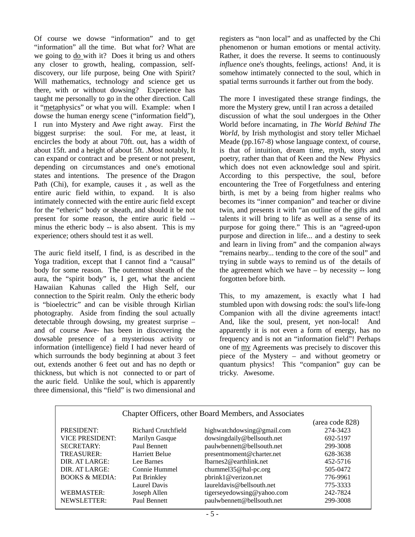Of course we dowse "information" and to get "information" all the time. But what for? What are we going to do with it? Does it bring us and others any closer to growth, healing, compassion, selfdiscovery, our life purpose, being One with Spirit? Will mathematics, technology and science get us there, with or without dowsing? Experience has taught me personally to go in the other direction. Call it "metaphysics" or what you will. Example: when I dowse the human energy scene ("information field"), I run into Mystery and Awe right away. First the biggest surprise: the soul. For me, at least, it encircles the body at about 70ft. out, has a width of about 15ft. and a height of about 5ft. .Most notably, It can expand or contract and be present or not present, depending on circumstances and one's emotional states and intentions. The presence of the Dragon Path (Chi), for example, causes it , as well as the entire auric field within, to expand. It is also intimately connected with the entire auric field except for the "etheric" body or sheath, and should it be not present for some reason, the entire auric field - minus the etheric body -- is also absent. This is my experience; others should test it as well.

The auric field itself, I find, is as described in the Yoga tradition, except that I cannot find a "causal" body for some reason. The outermost sheath of the aura, the "spirit body" is, I get, what the ancient Hawaiian Kahunas called the High Self, our connection to the Spirit realm. Only the etheric body is "bioelectric" and can be visible through Kirlian photography. Aside from finding the soul actually detectable through dowsing, my greatest surprise – and of course Awe- has been in discovering the dowsable presence of a mysterious activity or information (intelligence) field I had never heard of which surrounds the body beginning at about 3 feet out, extends another 6 feet out and has no depth or thickness, but which is not connected to or part of the auric field. Unlike the soul, which is apparently three dimensional, this "field" is two dimensional and registers as "non local" and as unaffected by the Chi phenomenon or human emotions or mental activity. Rather, it does the reverse. It seems to continuously *influence* one's thoughts, feelings, actions! And, it is somehow intimately connected to the soul, which in spatial terms surrounds it farther out from the body.

The more I investigated these strange findings, the more the Mystery grew, until I ran across a detailed discussion of what the soul undergoes in the Other World before incarnating, in *The World Behind The World*, by Irish mythologist and story teller Michael Meade (pp.167-8) whose language context, of course, is that of intuition, dream time, myth, story and poetry, rather than that of Keen and the New Physics which does not even acknowledge soul and spirit. According to this perspective, the soul, before encountering the Tree of Forgetfulness and entering birth, is met by a being from higher realms who becomes its "inner companion" and teacher or divine twin, and presents it with "an outline of the gifts and talents it will bring to life as well as a sense of its purpose for going there." This is an "agreed-upon purpose and direction in life... and a destiny to seek and learn in living from" and the companion always "remains nearby... tending to the core of the soul" and trying in subtle ways to remind us of the details of the agreement which we have – by necessity -- long forgotten before birth.

This, to my amazement, is exactly what I had stumbled upon with dowsing rods: the soul's life-long Companion with all the divine agreements intact! And, like the soul, present, yet non-local! And apparently it is not even a form of energy, has no frequency and is not an "information field"! Perhaps one of my Agreements was precisely to discover this piece of the Mystery – and without geometry or quantum physics! This "companion" guy can be tricky. Awesome.

| Chapter Officers, other Board Members, and Associates |                     |                               |                 |  |
|-------------------------------------------------------|---------------------|-------------------------------|-----------------|--|
|                                                       |                     |                               | (area code 828) |  |
| PRESIDENT:                                            | Richard Crutchfield | highwatchdowsing@gmail.com    | 274-3423        |  |
| <b>VICE PRESIDENT:</b>                                | Marilyn Gasque      | dowsingdaily@bellsouth.net    | 692-5197        |  |
| <b>SECRETARY:</b>                                     | Paul Bennett        | paulwbennett@bellsouth.net    | 299-3008        |  |
| TREASURER:                                            | Harriett Belue      | presentmoment@charter.net     | 628-3638        |  |
| DIR. AT LARGE:                                        | Lee Barnes          | $lbar$ nes $2@$ earthlink.net | 452-5716        |  |
| DIR. AT LARGE:                                        | Connie Hummel       | chummel35@hal-pc.org          | 505-0472        |  |
| <b>BOOKS &amp; MEDIA:</b>                             | Pat Brinkley        | pbrink1@verizon.net           | 776-9961        |  |
|                                                       | Laurel Davis        | laureldavis@bellsouth.net     | 775-3333        |  |
| <b>WEBMASTER:</b>                                     | Joseph Allen        | tigerseyedowsing@yahoo.com    | 242-7824        |  |
| NEWSLETTER:                                           | Paul Bennett        | paulwbennett@bellsouth.net    | 299-3008        |  |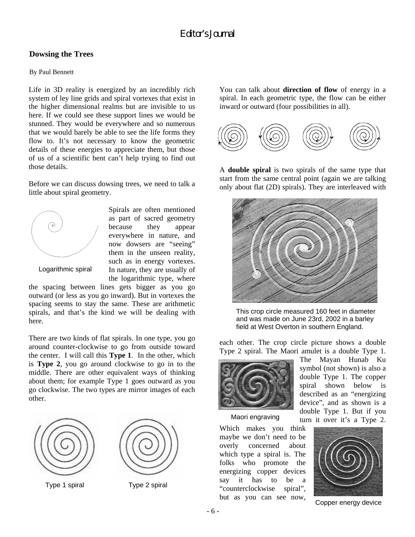# **Dowsing the Trees**

#### By Paul Bennett

Life in 3D reality is energized by an incredibly rich system of ley line grids and spiral vortexes that exist in the higher dimensional realms but are invisible to us here. If we could see these support lines we would be stunned. They would be everywhere and so numerous that we would barely be able to see the life forms they flow to. It's not necessary to know the geometric details of these energies to appreciate them, but those of us of a scientific bent can't help trying to find out those details.

Before we can discuss dowsing trees, we need to talk a little about spiral geometry.



Spirals are often mentioned as part of sacred geometry because they appear everywhere in nature, and now dowsers are "seeing" them in the unseen reality, such as in energy vortexes. In nature, they are usually of the logarithmic type, where

Logarithmic spiral

the spacing between lines gets bigger as you go outward (or less as you go inward). But in vortexes the spacing seems to stay the same. These are arithmetic spirals, and that's the kind we will be dealing with here.

There are two kinds of flat spirals. In one type, you go around counter-clockwise to go from outside toward the center. I will call this **Type 1**. In the other, which is **Type 2**, you go around clockwise to go in to the middle. There are other equivalent ways of thinking about them; for example Type 1 goes outward as you go clockwise. The two types are mirror images of each other.



Type 1 spiral Type 2 spiral



You can talk about **direction of flow** of energy in a spiral. In each geometric type, the flow can be either inward or outward (four possibilities in all).



A **double spiral** is two spirals of the same type that start from the same central point (again we are talking only about flat (2D) spirals). They are interleaved with



This crop circle measured 160 feet in diameter and was made on June 23rd, 2002 in a barley field at West Overton in southern England.

each other. The crop circle picture shows a double Type 2 spiral. The Maori amulet is a double Type 1.



Maori engraving

Which makes you think maybe we don't need to be overly concerned about which type a spiral is. The folks who promote the energizing copper devices say it has to be a "counterclockwise spiral", but as you can see now,

The Mayan Hunab Ku symbol (not shown) is also a double Type 1. The copper spiral shown below is described as an "energizing device", and as shown is a double Type 1. But if you turn it over it's a Type 2.



Copper energy device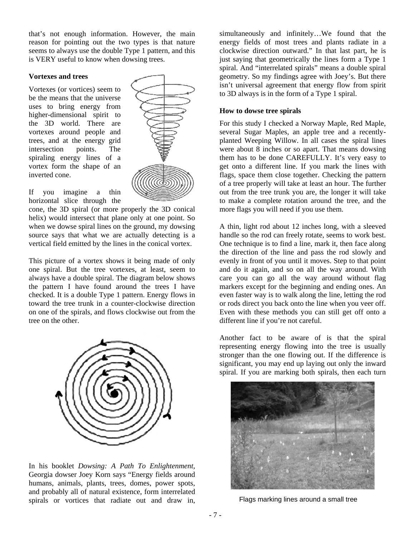that's not enough information. However, the main reason for pointing out the two types is that nature seems to always use the double Type 1 pattern, and this is VERY useful to know when dowsing trees.

#### **Vortexes and trees**

Vortexes (or vortices) seem to be the means that the universe uses to bring energy from higher-dimensional spirit to the 3D world. There are vortexes around people and trees, and at the energy grid intersection points. The spiraling energy lines of a vortex form the shape of an inverted cone.



If you imagine a thin horizontal slice through the

cone, the 3D spiral (or more properly the 3D conical helix) would intersect that plane only at one point. So when we dowse spiral lines on the ground, my dowsing source says that what we are actually detecting is a vertical field emitted by the lines in the conical vortex.

This picture of a vortex shows it being made of only one spiral. But the tree vortexes, at least, seem to always have a double spiral. The diagram below shows the pattern I have found around the trees I have checked. It is a double Type 1 pattern. Energy flows in toward the tree trunk in a counter-clockwise direction on one of the spirals, and flows clockwise out from the tree on the other.



In his booklet *Dowsing: A Path To Enlightenment*, Georgia dowser Joey Korn says "Energy fields around humans, animals, plants, trees, domes, power spots, and probably all of natural existence, form interrelated spirals or vortices that radiate out and draw in,

simultaneously and infinitely…We found that the energy fields of most trees and plants radiate in a clockwise direction outward." In that last part, he is just saying that geometrically the lines form a Type 1 spiral. And "interrelated spirals" means a double spiral geometry. So my findings agree with Joey's. But there isn't universal agreement that energy flow from spirit to 3D always is in the form of a Type 1 spiral.

#### **How to dowse tree spirals**

For this study I checked a Norway Maple, Red Maple, several Sugar Maples, an apple tree and a recentlyplanted Weeping Willow. In all cases the spiral lines were about 8 inches or so apart. That means dowsing them has to be done CAREFULLY. It's very easy to get onto a different line. If you mark the lines with flags, space them close together. Checking the pattern of a tree properly will take at least an hour. The further out from the tree trunk you are, the longer it will take to make a complete rotation around the tree, and the more flags you will need if you use them.

A thin, light rod about 12 inches long, with a sleeved handle so the rod can freely rotate, seems to work best. One technique is to find a line, mark it, then face along the direction of the line and pass the rod slowly and evenly in front of you until it moves. Step to that point and do it again, and so on all the way around. With care you can go all the way around without flag markers except for the beginning and ending ones. An even faster way is to walk along the line, letting the rod or rods direct you back onto the line when you veer off. Even with these methods you can still get off onto a different line if you're not careful.

Another fact to be aware of is that the spiral representing energy flowing into the tree is usually stronger than the one flowing out. If the difference is significant, you may end up laying out only the inward spiral. If you are marking both spirals, then each turn



Flags marking lines around a small tree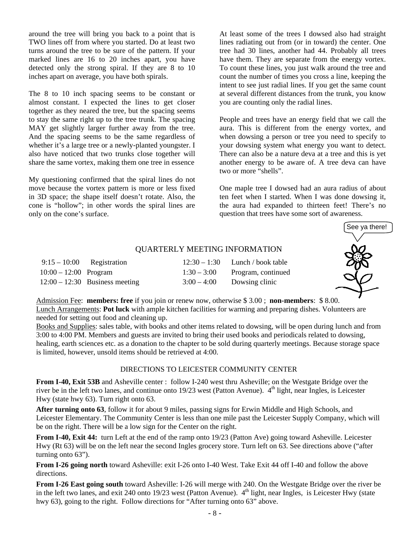around the tree will bring you back to a point that is TWO lines off from where you started. Do at least two turns around the tree to be sure of the pattern. If your marked lines are 16 to 20 inches apart, you have detected only the strong spiral. If they are 8 to 10 inches apart on average, you have both spirals.

The 8 to 10 inch spacing seems to be constant or almost constant. I expected the lines to get closer together as they neared the tree, but the spacing seems to stay the same right up to the tree trunk. The spacing MAY get slightly larger further away from the tree. And the spacing seems to be the same regardless of whether it's a large tree or a newly-planted youngster. I also have noticed that two trunks close together will share the same vortex, making them one tree in essence

My questioning confirmed that the spiral lines do not move because the vortex pattern is more or less fixed in 3D space; the shape itself doesn't rotate. Also, the cone is "hollow"; in other words the spiral lines are only on the cone's surface.

At least some of the trees I dowsed also had straight lines radiating out from (or in toward) the center. One tree had 30 lines, another had 44. Probably all trees have them. They are separate from the energy vortex. To count these lines, you just walk around the tree and count the number of times you cross a line, keeping the intent to see just radial lines. If you get the same count at several different distances from the trunk, you know you are counting only the radial lines.

People and trees have an energy field that we call the aura. This is different from the energy vortex, and when dowsing a person or tree you need to specify to your dowsing system what energy you want to detect. There can also be a nature deva at a tree and this is yet another energy to be aware of. A tree deva can have two or more "shells".

One maple tree I dowsed had an aura radius of about ten feet when I started. When I was done dowsing it, the aura had expanded to thirteen feet! There's no question that trees have some sort of awareness.



### QUARTERLY MEETING INFORMATION

|                         | $9:15-10:00$ Registration        | $12:30 - 1:30$ Lunch / book table |
|-------------------------|----------------------------------|-----------------------------------|
| $10:00 - 12:00$ Program |                                  | $1:30-3:00$ Program, continued    |
|                         | $12:00 - 12:30$ Business meeting | $3:00-4:00$ Dowsing clinic        |

Admission Fee: **members: free** if you join or renew now, otherwise \$ 3.00 ; **non-members**: \$ 8.00. Lunch Arrangements: **Pot luck** with ample kitchen facilities for warming and preparing dishes. Volunteers are needed for setting out food and cleaning up.

Books and Supplies: sales table, with books and other items related to dowsing, will be open during lunch and from 3:00 to 4:00 PM. Members and guests are invited to bring their used books and periodicals related to dowsing, healing, earth sciences etc. as a donation to the chapter to be sold during quarterly meetings. Because storage space is limited, however, unsold items should be retrieved at 4:00.

### DIRECTIONS TO LEICESTER COMMUNITY CENTER

**From I-40, Exit 53B** and Asheville center : follow I-240 west thru Asheville; on the Westgate Bridge over the river be in the left two lanes, and continue onto  $19/23$  west (Patton Avenue).  $4<sup>th</sup>$  light, near Ingles, is Leicester Hwy (state hwy 63). Turn right onto 63.

**After turning onto 63**, follow it for about 9 miles, passing signs for Erwin Middle and High Schools, and Leicester Elementary. The Community Center is less than one mile past the Leicester Supply Company, which will be on the right. There will be a low sign for the Center on the right.

**From I-40, Exit 44:** turn Left at the end of the ramp onto 19/23 (Patton Ave) going toward Asheville. Leicester Hwy (Rt 63) will be on the left near the second Ingles grocery store. Turn left on 63. See directions above ("after turning onto 63").

**From I-26 going north** toward Asheville: exit I-26 onto I-40 West. Take Exit 44 off I-40 and follow the above directions.

**From I-26 East going south** toward Asheville: I-26 will merge with 240. On the Westgate Bridge over the river be in the left two lanes, and exit 240 onto 19/23 west (Patton Avenue).  $4<sup>th</sup>$  light, near Ingles, is Leicester Hwy (state hwy 63), going to the right. Follow directions for "After turning onto 63" above.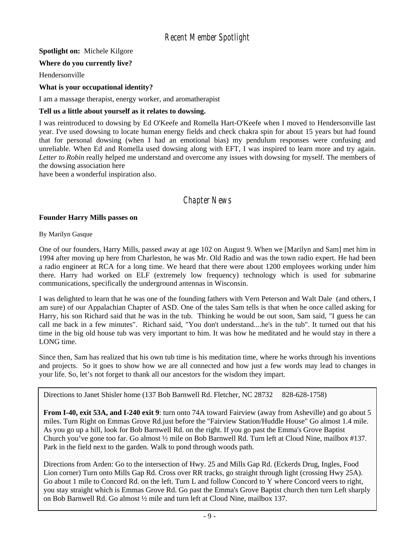**Spotlight on:** Michele Kilgore

# **Where do you currently live?**

Hendersonville

# **What is your occupational identity?**

I am a massage therapist, energy worker, and aromatherapist

### **Tell us a little about yourself as it relates to dowsing.**

I was reintroduced to dowsing by Ed O'Keefe and Romella Hart-O'Keefe when I moved to Hendersonville last year. I've used dowsing to locate human energy fields and check chakra spin for about 15 years but had found that for personal dowsing (when I had an emotional bias) my pendulum responses were confusing and unreliable. When Ed and Romella used dowsing along with EFT, I was inspired to learn more and try again. *Letter to Robin* really helped me understand and overcome any issues with dowsing for myself. The members of the dowsing association here

have been a wonderful inspiration also.

# *Chapter News*

# **Founder Harry Mills passes on**

#### By Marilyn Gasque

One of our founders, Harry Mills, passed away at age 102 on August 9. When we [Marilyn and Sam] met him in 1994 after moving up here from Charleston, he was Mr. Old Radio and was the town radio expert. He had been a radio engineer at RCA for a long time. We heard that there were about 1200 employees working under him there. Harry had worked on ELF (extremely low frequency) technology which is used for submarine communications, specifically the underground antennas in Wisconsin.

I was delighted to learn that he was one of the founding fathers with Vern Peterson and Walt Dale (and others, I am sure) of our Appalachian Chapter of ASD. One of the tales Sam tells is that when he once called asking for Harry, his son Richard said that he was in the tub. Thinking he would be out soon, Sam said, "I guess he can call me back in a few minutes". Richard said, "You don't understand....he's in the tub". It turned out that his time in the big old house tub was very important to him. It was how he meditated and he would stay in there a LONG time.

Since then, Sam has realized that his own tub time is his meditation time, where he works through his inventions and projects. So it goes to show how we are all connected and how just a few words may lead to changes in your life. So, let's not forget to thank all our ancestors for the wisdom they impart.

Directions to Janet Shisler home (137 Bob Barnwell Rd. Fletcher, NC 28732 828-628-1758)

**From I-40, exit 53A, and I-240 exit 9**: turn onto 74A toward Fairview (away from Asheville) and go about 5 miles. Turn Right on Emmas Grove Rd.just before the "Fairview Station/Huddle House" Go almost 1.4 mile. As you go up a hill, look for Bob Barnwell Rd. on the right. If you go past the Emma's Grove Baptist Church you've gone too far. Go almost ½ mile on Bob Barnwell Rd. Turn left at Cloud Nine, mailbox #137. Park in the field next to the garden. Walk to pond through woods path.

Directions from Arden: Go to the intersection of Hwy. 25 and Mills Gap Rd. (Eckerds Drug, Ingles, Food Lion corner) Turn onto Mills Gap Rd. Cross over RR tracks, go straight through light (crossing Hwy 25A). Go about 1 mile to Concord Rd. on the left. Turn L and follow Concord to Y where Concord veers to right, you stay straight which is Emmas Grove Rd. Go past the Emma's Grove Baptist church then turn Left sharply on Bob Barnwell Rd. Go almost ½ mile and turn left at Cloud Nine, mailbox 137.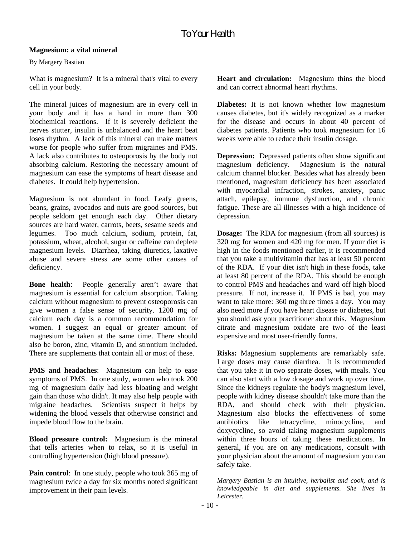# **Magnesium: a vital mineral**

By Margery Bastian

What is magnesium? It is a mineral that's vital to every cell in your body.

The mineral juices of magnesium are in every cell in your body and it has a hand in more than 300 biochemical reactions. If it is severely deficient the nerves stutter, insulin is unbalanced and the heart beat loses rhythm. A lack of this mineral can make matters worse for people who suffer from migraines and PMS. A lack also contributes to osteoporosis by the body not absorbing calcium. Restoring the necessary amount of magnesium can ease the symptoms of heart disease and diabetes. It could help hypertension.

Magnesium is not abundant in food. Leafy greens, beans, grains, avocados and nuts are good sources, but people seldom get enough each day. Other dietary sources are hard water, carrots, beets, sesame seeds and legumes. Too much calcium, sodium, protein, fat, potassium, wheat, alcohol, sugar or caffeine can deplete magnesium levels. Diarrhea, taking diuretics, laxative abuse and severe stress are some other causes of deficiency.

**Bone health**: People generally aren't aware that magnesium is essential for calcium absorption. Taking calcium without magnesium to prevent osteoporosis can give women a false sense of security. 1200 mg of calcium each day is a common recommendation for women. I suggest an equal or greater amount of magnesium be taken at the same time. There should also be boron, zinc, vitamin D, and strontium included. There are supplements that contain all or most of these.

**PMS** and headaches: Magnesium can help to ease symptoms of PMS. In one study, women who took 200 mg of magnesium daily had less bloating and weight gain than those who didn't. It may also help people with migraine headaches. Scientists suspect it helps by widening the blood vessels that otherwise constrict and impede blood flow to the brain.

**Blood pressure control:** Magnesium is the mineral that tells arteries when to relax, so it is useful in controlling hypertension (high blood pressure).

Pain control: In one study, people who took 365 mg of magnesium twice a day for six months noted significant improvement in their pain levels.

**Heart and circulation:** Magnesium thins the blood and can correct abnormal heart rhythms.

**Diabetes:** It is not known whether low magnesium causes diabetes, but it's widely recognized as a marker for the disease and occurs in about 40 percent of diabetes patients. Patients who took magnesium for 16 weeks were able to reduce their insulin dosage.

**Depression:** Depressed patients often show significant magnesium deficiency. Magnesium is the natural calcium channel blocker. Besides what has already been mentioned, magnesium deficiency has been associated with myocardial infraction, strokes, anxiety, panic attach, epilepsy, immune dysfunction, and chronic fatigue. These are all illnesses with a high incidence of depression.

**Dosage:** The RDA for magnesium (from all sources) is 320 mg for women and 420 mg for men. If your diet is high in the foods mentioned earlier, it is recommended that you take a multivitamin that has at least 50 percent of the RDA. If your diet isn't high in these foods, take at least 80 percent of the RDA. This should be enough to control PMS and headaches and ward off high blood pressure. If not, increase it. If PMS is bad, you may want to take more: 360 mg three times a day. You may also need more if you have heart disease or diabetes, but you should ask your practitioner about this. Magnesium citrate and magnesium oxidate are two of the least expensive and most user-friendly forms.

**Risks:** Magnesium supplements are remarkably safe. Large doses may cause diarrhea. It is recommended that you take it in two separate doses, with meals. You can also start with a low dosage and work up over time. Since the kidneys regulate the body's magnesium level, people with kidney disease shouldn't take more than the RDA, and should check with their physician. Magnesium also blocks the effectiveness of some antibiotics like tetracycline, minocycline, and doxycycline, so avoid taking magnesium supplements within three hours of taking these medications. In general, if you are on any medications, consult with your physician about the amount of magnesium you can safely take.

*Margery Bastian is an intuitive, herbalist and cook, and is knowledgeable in diet and supplements. She lives in Leicester.*